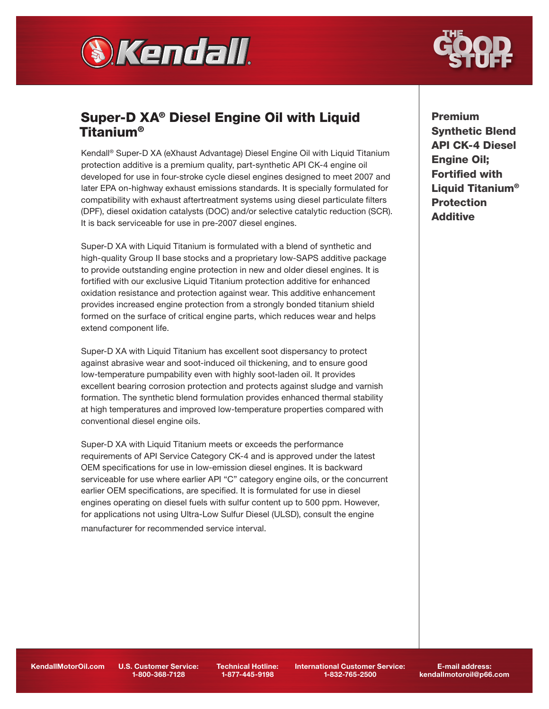



# Super-D XA® Diesel Engine Oil with Liquid Titanium®

Kendall® Super-D XA (eXhaust Advantage) Diesel Engine Oil with Liquid Titanium protection additive is a premium quality, part-synthetic API CK-4 engine oil developed for use in four-stroke cycle diesel engines designed to meet 2007 and later EPA on-highway exhaust emissions standards. It is specially formulated for compatibility with exhaust aftertreatment systems using diesel particulate filters (DPF), diesel oxidation catalysts (DOC) and/or selective catalytic reduction (SCR). It is back serviceable for use in pre-2007 diesel engines.

Super-D XA with Liquid Titanium is formulated with a blend of synthetic and high-quality Group II base stocks and a proprietary low-SAPS additive package to provide outstanding engine protection in new and older diesel engines. It is fortified with our exclusive Liquid Titanium protection additive for enhanced oxidation resistance and protection against wear. This additive enhancement provides increased engine protection from a strongly bonded titanium shield formed on the surface of critical engine parts, which reduces wear and helps extend component life.

Super-D XA with Liquid Titanium has excellent soot dispersancy to protect against abrasive wear and soot-induced oil thickening, and to ensure good low-temperature pumpability even with highly soot-laden oil. It provides excellent bearing corrosion protection and protects against sludge and varnish formation. The synthetic blend formulation provides enhanced thermal stability at high temperatures and improved low-temperature properties compared with conventional diesel engine oils.

Super-D XA with Liquid Titanium meets or exceeds the performance requirements of API Service Category CK-4 and is approved under the latest OEM specifications for use in low-emission diesel engines. It is backward serviceable for use where earlier API "C" category engine oils, or the concurrent earlier OEM specifications, are specified. It is formulated for use in diesel engines operating on diesel fuels with sulfur content up to 500 ppm. However, for applications not using Ultra-Low Sulfur Diesel (ULSD), consult the engine

manufacturer for recommended service interval.

Premium Synthetic Blend API CK-4 Diesel Engine Oil; Fortified with Liquid Titanium<sup>®</sup> **Protection** Additive

KendallMotorOil.com U.S. Customer Service:

1-800-368-7128

Technical Hotline: 1-877-445-9198

International Customer Service: 1-832-765-2500

E-mail address: kendallmotoroil@p66.com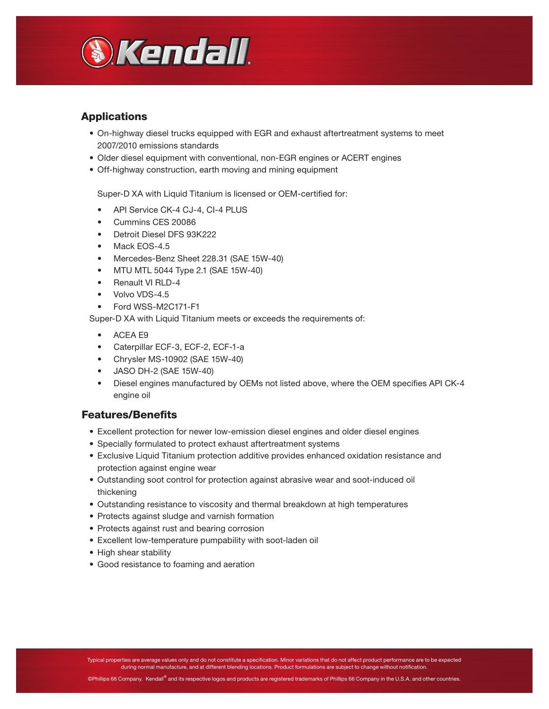

## Applications

- On-highway diesel trucks equipped with EGR and exhaust aftertreatment systems to meet 2007/2010 emissions standards
- Older diesel equipment with conventional, non-EGR engines or ACERT engines
- Off-highway construction, earth moving and mining equipment

Super-D XA with Liquid Titanium is licensed or OEM-certified for:

- API Service CK-4 CJ-4, CI-4 PLUS
- Cummins CES 20086
- Detroit Diesel DFS 93K222
- Mack EOS-4.5
- Mercedes-Benz Sheet 228.31 (SAE 15W-40)
- MTU MTL 5044 Type 2.1 (SAE 15W-40)
- Renault VI RLD-4
- Volvo VDS-4.5
- Ford WSS-M2C171-F1

Super-D XA with Liquid Titanium meets or exceeds the requirements of:

- ACEA E9
- Caterpillar ECF-3, ECF-2, ECF-1-a
- Chrysler MS-10902 (SAE 15W-40)
- JASO DH-2 (SAE 15W-40)
- Diesel engines manufactured by OEMs not listed above, where the OEM specifies API CK-4 engine oil

#### Features/Benefits

- Excellent protection for newer low-emission diesel engines and older diesel engines
- Specially formulated to protect exhaust aftertreatment systems
- Exclusive Liquid Titanium protection additive provides enhanced oxidation resistance and protection against engine wear
- Outstanding soot control for protection against abrasive wear and soot-induced oil thickening
- Outstanding resistance to viscosity and thermal breakdown at high temperatures
- Protects against sludge and varnish formation
- Protects against rust and bearing corrosion
- Excellent low-temperature pumpability with soot-laden oil
- High shear stability
- Good resistance to foaming and aeration